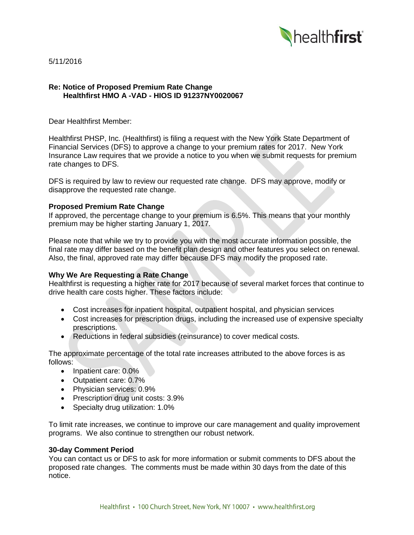

5/11/2016

### **Re: Notice of Proposed Premium Rate Change Healthfirst HMO A -VAD - HIOS ID 91237NY0020067**

Dear Healthfirst Member:

Healthfirst PHSP, Inc. (Healthfirst) is filing a request with the New York State Department of Financial Services (DFS) to approve a change to your premium rates for 2017. New York Insurance Law requires that we provide a notice to you when we submit requests for premium rate changes to DFS.

DFS is required by law to review our requested rate change. DFS may approve, modify or disapprove the requested rate change.

### **Proposed Premium Rate Change**

If approved, the percentage change to your premium is 6.5%. This means that your monthly premium may be higher starting January 1, 2017.

Please note that while we try to provide you with the most accurate information possible, the final rate may differ based on the benefit plan design and other features you select on renewal. Also, the final, approved rate may differ because DFS may modify the proposed rate.

# **Why We Are Requesting a Rate Change**

Healthfirst is requesting a higher rate for 2017 because of several market forces that continue to drive health care costs higher. These factors include:

- Cost increases for inpatient hospital, outpatient hospital, and physician services
- Cost increases for prescription drugs, including the increased use of expensive specialty prescriptions.
- Reductions in federal subsidies (reinsurance) to cover medical costs.

The approximate percentage of the total rate increases attributed to the above forces is as follows:

- Inpatient care: 0.0%
- Outpatient care: 0.7%
- Physician services: 0.9%
- Prescription drug unit costs: 3.9%
- Specialty drug utilization: 1.0%

To limit rate increases, we continue to improve our care management and quality improvement programs. We also continue to strengthen our robust network.

#### **30-day Comment Period**

You can contact us or DFS to ask for more information or submit comments to DFS about the proposed rate changes. The comments must be made within 30 days from the date of this notice.